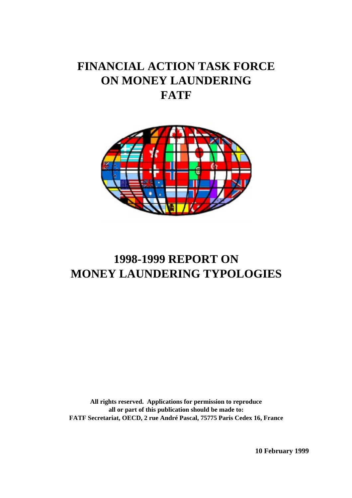# **FINANCIAL ACTION TASK FORCE ON MONEY LAUNDERING FATF**



## **1998-1999 REPORT ON MONEY LAUNDERING TYPOLOGIES**

**All rights reserved. Applications for permission to reproduce all or part of this publication should be made to: FATF Secretariat, OECD, 2 rue André Pascal, 75775 Paris Cedex 16, France**

**10 February 1999**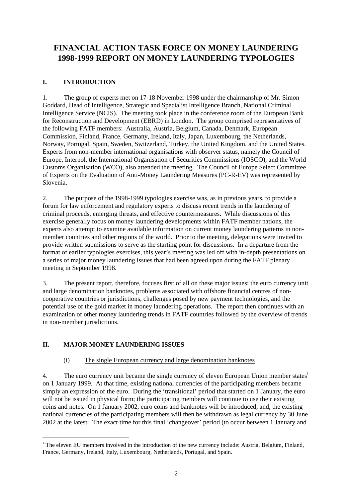## **FINANCIAL ACTION TASK FORCE ON MONEY LAUNDERING 1998-1999 REPORT ON MONEY LAUNDERING TYPOLOGIES**

## **I. INTRODUCTION**

1. The group of experts met on 17-18 November 1998 under the chairmanship of Mr. Simon Goddard, Head of Intelligence, Strategic and Specialist Intelligence Branch, National Criminal Intelligence Service (NCIS). The meeting took place in the conference room of the European Bank for Reconstruction and Development (EBRD) in London. The group comprised representatives of the following FATF members: Australia, Austria, Belgium, Canada, Denmark, European Commission, Finland, France, Germany, Ireland, Italy, Japan, Luxembourg, the Netherlands, Norway, Portugal, Spain, Sweden, Switzerland, Turkey, the United Kingdom, and the United States. Experts from non-member international organisations with observer status, namely the Council of Europe, Interpol, the International Organisation of Securities Commissions (IOSCO), and the World Customs Organisation (WCO), also attended the meeting. The Council of Europe Select Committee of Experts on the Evaluation of Anti-Money Laundering Measures (PC-R-EV) was represented by Slovenia.

2. The purpose of the 1998-1999 typologies exercise was, as in previous years, to provide a forum for law enforcement and regulatory experts to discuss recent trends in the laundering of criminal proceeds, emerging threats, and effective countermeasures. While discussions of this exercise generally focus on money laundering developments within FATF member nations, the experts also attempt to examine available information on current money laundering patterns in nonmember countries and other regions of the world. Prior to the meeting, delegations were invited to provide written submissions to serve as the starting point for discussions. In a departure from the format of earlier typologies exercises, this year's meeting was led off with in-depth presentations on a series of major money laundering issues that had been agreed upon during the FATF plenary meeting in September 1998.

3. The present report, therefore, focuses first of all on these major issues: the euro currency unit and large denomination banknotes, problems associated with offshore financial centres of noncooperative countries or jurisdictions, challenges posed by new payment technologies, and the potential use of the gold market in money laundering operations. The report then continues with an examination of other money laundering trends in FATF countries followed by the overview of trends in non-member jurisdictions.

## **II. MAJOR MONEY LAUNDERING ISSUES**

## (i) The single European currency and large denomination banknotes

4. The euro currency unit became the single currency of eleven European Union member states<sup>1</sup> on 1 January 1999. At that time, existing national currencies of the participating members became simply an expression of the euro. During the 'transitional' period that started on 1 January, the euro will not be issued in physical form; the participating members will continue to use their existing coins and notes. On 1 January 2002, euro coins and banknotes will be introduced, and, the existing national currencies of the participating members will then be withdrawn as legal currency by 30 June 2002 at the latest. The exact time for this final 'changeover' period (to occur between 1 January and

 $\frac{1}{1}$ <sup>1</sup> The eleven EU members involved in the introduction of the new currency include: Austria, Belgium, Finland, France, Germany, Ireland, Italy, Luxembourg, Netherlands, Portugal, and Spain.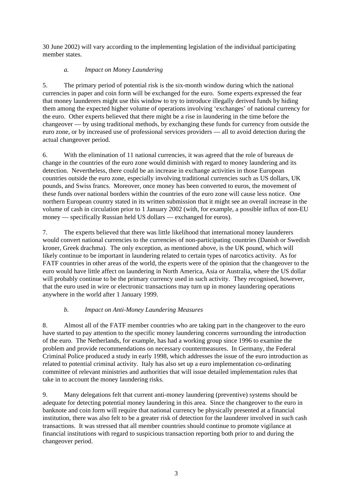30 June 2002) will vary according to the implementing legislation of the individual participating member states.

## *a. Impact on Money Laundering*

5. The primary period of potential risk is the six-month window during which the national currencies in paper and coin form will be exchanged for the euro. Some experts expressed the fear that money launderers might use this window to try to introduce illegally derived funds by hiding them among the expected higher volume of operations involving 'exchanges' of national currency for the euro. Other experts believed that there might be a rise in laundering in the time before the changeover — by using traditional methods, by exchanging these funds for currency from outside the euro zone, or by increased use of professional services providers — all to avoid detection during the actual changeover period.

6. With the elimination of 11 national currencies, it was agreed that the role of bureaux de change in the countries of the euro zone would diminish with regard to money laundering and its detection. Nevertheless, there could be an increase in exchange activities in those European countries outside the euro zone, especially involving traditional currencies such as US dollars, UK pounds, and Swiss francs. Moreover, once money has been converted to euros, the movement of these funds over national borders within the countries of the euro zone will cause less notice. One northern European country stated in its written submission that it might see an overall increase in the volume of cash in circulation prior to 1 January 2002 (with, for example, a possible influx of non-EU money — specifically Russian held US dollars — exchanged for euros).

7. The experts believed that there was little likelihood that international money launderers would convert national currencies to the currencies of non-participating countries (Danish or Swedish kroner, Greek drachma). The only exception, as mentioned above, is the UK pound, which will likely continue to be important in laundering related to certain types of narcotics activity. As for FATF countries in other areas of the world, the experts were of the opinion that the changeover to the euro would have little affect on laundering in North America, Asia or Australia, where the US dollar will probably continue to be the primary currency used in such activity. They recognised, however, that the euro used in wire or electronic transactions may turn up in money laundering operations anywhere in the world after 1 January 1999.

## *b. Impact on Anti-Money Laundering Measures*

8. Almost all of the FATF member countries who are taking part in the changeover to the euro have started to pay attention to the specific money laundering concerns surrounding the introduction of the euro. The Netherlands, for example, has had a working group since 1996 to examine the problem and provide recommendations on necessary countermeasures. In Germany, the Federal Criminal Police produced a study in early 1998, which addresses the issue of the euro introduction as related to potential criminal activity. Italy has also set up a euro implementation co-ordinating committee of relevant ministries and authorities that will issue detailed implementation rules that take in to account the money laundering risks.

9. Many delegations felt that current anti-money laundering (preventive) systems should be adequate for detecting potential money laundering in this area. Since the changeover to the euro in banknote and coin form will require that national currency be physically presented at a financial institution, there was also felt to be a greater risk of detection for the launderer involved in such cash transactions. It was stressed that all member countries should continue to promote vigilance at financial institutions with regard to suspicious transaction reporting both prior to and during the changeover period.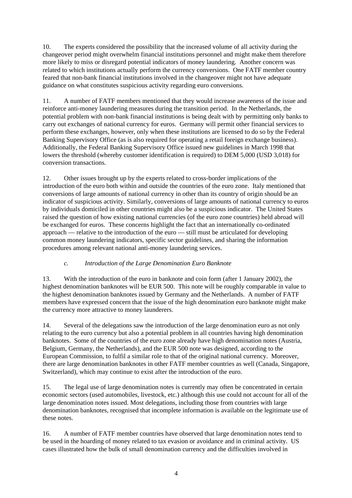10. The experts considered the possibility that the increased volume of all activity during the changeover period might overwhelm financial institutions personnel and might make them therefore more likely to miss or disregard potential indicators of money laundering. Another concern was related to which institutions actually perform the currency conversions. One FATF member country feared that non-bank financial institutions involved in the changeover might not have adequate guidance on what constitutes suspicious activity regarding euro conversions.

11. A number of FATF members mentioned that they would increase awareness of the issue and reinforce anti-money laundering measures during the transition period. In the Netherlands, the potential problem with non-bank financial institutions is being dealt with by permitting only banks to carry out exchanges of national currency for euros. Germany will permit other financial services to perform these exchanges, however, only when these institutions are licensed to do so by the Federal Banking Supervisory Office (as is also required for operating a retail foreign exchange business). Additionally, the Federal Banking Supervisory Office issued new guidelines in March 1998 that lowers the threshold (whereby customer identification is required) to DEM 5,000 (USD 3,018) for conversion transactions.

12. Other issues brought up by the experts related to cross-border implications of the introduction of the euro both within and outside the countries of the euro zone. Italy mentioned that conversions of large amounts of national currency in other than its country of origin should be an indicator of suspicious activity. Similarly, conversions of large amounts of national currency to euros by individuals domiciled in other countries might also be a suspicious indicator. The United States raised the question of how existing national currencies (of the euro zone countries) held abroad will be exchanged for euros. These concerns highlight the fact that an internationally co-ordinated approach — relative to the introduction of the euro — still must be articulated for developing common money laundering indicators, specific sector guidelines, and sharing the information procedures among relevant national anti-money laundering services.

## *c. Introduction of the Large Denomination Euro Banknote*

13. With the introduction of the euro in banknote and coin form (after 1 January 2002), the highest denomination banknotes will be EUR 500. This note will be roughly comparable in value to the highest denomination banknotes issued by Germany and the Netherlands. A number of FATF members have expressed concern that the issue of the high denomination euro banknote might make the currency more attractive to money launderers.

14. Several of the delegations saw the introduction of the large denomination euro as not only relating to the euro currency but also a potential problem in all countries having high denomination banknotes. Some of the countries of the euro zone already have high denomination notes (Austria, Belgium, Germany, the Netherlands), and the EUR 500 note was designed, according to the European Commission, to fulfil a similar role to that of the original national currency. Moreover, there are large denomination banknotes in other FATF member countries as well (Canada, Singapore, Switzerland), which may continue to exist after the introduction of the euro.

15. The legal use of large denomination notes is currently may often be concentrated in certain economic sectors (used automobiles, livestock, etc.) although this use could not account for all of the large denomination notes issued. Most delegations, including those from countries with large denomination banknotes, recognised that incomplete information is available on the legitimate use of these notes.

16. A number of FATF member countries have observed that large denomination notes tend to be used in the hoarding of money related to tax evasion or avoidance and in criminal activity. US cases illustrated how the bulk of small denomination currency and the difficulties involved in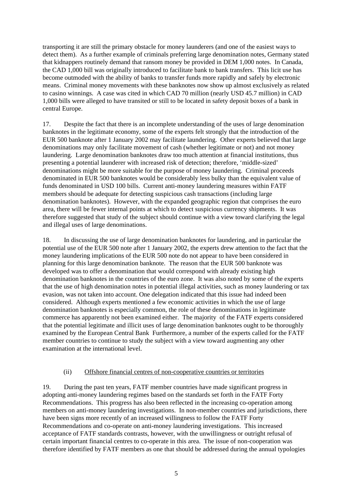transporting it are still the primary obstacle for money launderers (and one of the easiest ways to detect them). As a further example of criminals preferring large denomination notes, Germany stated that kidnappers routinely demand that ransom money be provided in DEM 1,000 notes. In Canada, the CAD 1,000 bill was originally introduced to facilitate bank to bank transfers. This licit use has become outmoded with the ability of banks to transfer funds more rapidly and safely by electronic means. Criminal money movements with these banknotes now show up almost exclusively as related to casino winnings. A case was cited in which CAD 70 million (nearly USD 45.7 million) in CAD 1,000 bills were alleged to have transited or still to be located in safety deposit boxes of a bank in central Europe.

17. Despite the fact that there is an incomplete understanding of the uses of large denomination banknotes in the legitimate economy, some of the experts felt strongly that the introduction of the EUR 500 banknote after 1 January 2002 may facilitate laundering. Other experts believed that large denominations may only facilitate movement of cash (whether legitimate or not) and not money laundering. Large denomination banknotes draw too much attention at financial institutions, thus presenting a potential launderer with increased risk of detection; therefore, 'middle-sized' denominations might be more suitable for the purpose of money laundering. Criminal proceeds denominated in EUR 500 banknotes would be considerably less bulky than the equivalent value of funds denominated in USD 100 bills. Current anti-money laundering measures within FATF members should be adequate for detecting suspicious cash transactions (including large denomination banknotes). However, with the expanded geographic region that comprises the euro area, there will be fewer internal points at which to detect suspicious currency shipments. It was therefore suggested that study of the subject should continue with a view toward clarifying the legal and illegal uses of large denominations.

18. In discussing the use of large denomination banknotes for laundering, and in particular the potential use of the EUR 500 note after 1 January 2002, the experts drew attention to the fact that the money laundering implications of the EUR 500 note do not appear to have been considered in planning for this large denomination banknote. The reason that the EUR 500 banknote was developed was to offer a denomination that would correspond with already existing high denomination banknotes in the countries of the euro zone. It was also noted by some of the experts that the use of high denomination notes in potential illegal activities, such as money laundering or tax evasion, was not taken into account. One delegation indicated that this issue had indeed been considered. Although experts mentioned a few economic activities in which the use of large denomination banknotes is especially common, the role of these denominations in legitimate commerce has apparently not been examined either. The majority of the FATF experts considered that the potential legitimate and illicit uses of large denomination banknotes ought to be thoroughly examined by the European Central Bank Furthermore, a number of the experts called for the FATF member countries to continue to study the subject with a view toward augmenting any other examination at the international level.

#### (ii) Offshore financial centres of non-cooperative countries or territories

19. During the past ten years, FATF member countries have made significant progress in adopting anti-money laundering regimes based on the standards set forth in the FATF Forty Recommendations. This progress has also been reflected in the increasing co-operation among members on anti-money laundering investigations. In non-member countries and jurisdictions, there have been signs more recently of an increased willingness to follow the FATF Forty Recommendations and co-operate on anti-money laundering investigations. This increased acceptance of FATF standards contrasts, however, with the unwillingness or outright refusal of certain important financial centres to co-operate in this area. The issue of non-cooperation was therefore identified by FATF members as one that should be addressed during the annual typologies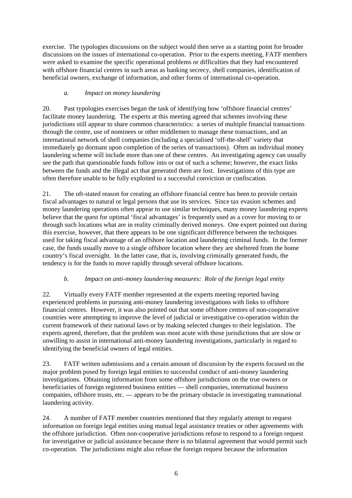exercise. The typologies discussions on the subject would then serve as a starting point for broader discussions on the issues of international co-operation. Prior to the experts meeting, FATF members were asked to examine the specific operational problems or difficulties that they had encountered with offshore financial centres in such areas as banking secrecy, shell companies, identification of beneficial owners, exchange of information, and other forms of international co-operation.

## *a. Impact on money laundering*

20. Past typologies exercises began the task of identifying how 'offshore financial centres' facilitate money laundering. The experts at this meeting agreed that schemes involving these jurisdictions still appear to share common characteristics: a series of multiple financial transactions through the centre, use of nominees or other middlemen to manage these transactions, and an international network of shell companies (including a specialised 'off-the-shelf' variety that immediately go dormant upon completion of the series of transactions). Often an individual money laundering scheme will include more than one of these centres. An investigating agency can usually see the path that questionable funds follow into or out of such a scheme; however, the exact links between the funds and the illegal act that generated them are lost. Investigations of this type are often therefore unable to be fully exploited to a successful conviction or confiscation.

21. The oft-stated reason for creating an offshore financial centre has been to provide certain fiscal advantages to natural or legal persons that use its services. Since tax evasion schemes and money laundering operations often appear to use similar techniques, many money laundering experts believe that the quest for optimal 'fiscal advantages' is frequently used as a cover for moving to or through such locations what are in reality criminally derived moneys. One expert pointed out during this exercise, however, that there appears to be one significant difference between the techniques used for taking fiscal advantage of an offshore location and laundering criminal funds. In the former case, the funds usually move to a single offshore location where they are sheltered from the home country's fiscal oversight. In the latter case, that is, involving criminally generated funds, the tendency is for the funds to move rapidly through several offshore locations.

## *b. Impact on anti-money laundering measures: Role of the foreign legal entity*

22. Virtually every FATF member represented at the experts meeting reported having experienced problems in pursuing anti-money laundering investigations with links to offshore financial centres. However, it was also pointed out that some offshore centres of non-cooperative countries were attempting to improve the level of judicial or investigative co-operation within the current framework of their national laws or by making selected changes to their legislation. The experts agreed, therefore, that the problem was most acute with those jurisdictions that are slow or unwilling to assist in international anti-money laundering investigations, particularly in regard to identifying the beneficial owners of legal entities.

23. FATF written submissions and a certain amount of discussion by the experts focused on the major problem posed by foreign legal entities to successful conduct of anti-money laundering investigations. Obtaining information from some offshore jurisdictions on the true owners or beneficiaries of foreign registered business entities — shell companies, international business companies, offshore trusts, etc. — appears to be the primary obstacle in investigating transnational laundering activity.

24. A number of FATF member countries mentioned that they regularly attempt to request information on foreign legal entities using mutual legal assistance treaties or other agreements with the offshore jurisdiction. Often non-cooperative jurisdictions refuse to respond to a foreign request for investigative or judicial assistance because there is no bilateral agreement that would permit such co-operation. The jurisdictions might also refuse the foreign request because the information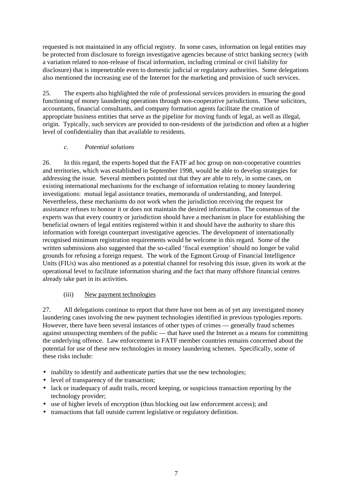requested is not maintained in any official registry. In some cases, information on legal entities may be protected from disclosure to foreign investigative agencies because of strict banking secrecy (with a variation related to non-release of fiscal information, including criminal or civil liability for disclosure) that is impenetrable even to domestic judicial or regulatory authorities. Some delegations also mentioned the increasing use of the Internet for the marketing and provision of such services.

25. The experts also highlighted the role of professional services providers in ensuring the good functioning of money laundering operations through non-cooperative jurisdictions. These solicitors, accountants, financial consultants, and company formation agents facilitate the creation of appropriate business entities that serve as the pipeline for moving funds of legal, as well as illegal, origin. Typically, such services are provided to non-residents of the jurisdiction and often at a higher level of confidentiality than that available to residents.

## *c. Potential solutions*

26. In this regard, the experts hoped that the FATF ad hoc group on non-cooperative countries and territories, which was established in September 1998, would be able to develop strategies for addressing the issue. Several members pointed out that they are able to rely, in some cases, on existing international mechanisms for the exchange of information relating to money laundering investigations: mutual legal assistance treaties, memoranda of understanding, and Interpol. Nevertheless, these mechanisms do not work when the jurisdiction receiving the request for assistance refuses to honour it or does not maintain the desired information. The consensus of the experts was that every country or jurisdiction should have a mechanism in place for establishing the beneficial owners of legal entities registered within it and should have the authority to share this information with foreign counterpart investigative agencies. The development of internationally recognised minimum registration requirements would be welcome in this regard. Some of the written submissions also suggested that the so-called 'fiscal exemption' should no longer be valid grounds for refusing a foreign request. The work of the Egmont Group of Financial Intelligence Units (FIUs) was also mentioned as a potential channel for resolving this issue, given its work at the operational level to facilitate information sharing and the fact that many offshore financial centres already take part in its activities.

## (iii) New payment technologies

27. All delegations continue to report that there have not been as of yet any investigated money laundering cases involving the new payment technologies identified in previous typologies reports. However, there have been several instances of other types of crimes — generally fraud schemes against unsuspecting members of the public — that have used the Internet as a means for committing the underlying offence. Law enforcement in FATF member countries remains concerned about the potential for use of these new technologies in money laundering schemes. Specifically, some of these risks include:

- inability to identify and authenticate parties that use the new technologies;
- level of transparency of the transaction;
- lack or inadequacy of audit trails, record keeping, or suspicious transaction reporting by the technology provider;
- use of higher levels of encryption (thus blocking out law enforcement access); and
- transactions that fall outside current legislative or regulatory definition.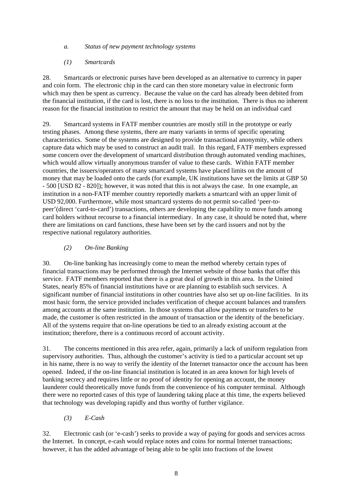#### *a. Status of new payment technology systems*

## *(1) Smartcards*

28. Smartcards or electronic purses have been developed as an alternative to currency in paper and coin form. The electronic chip in the card can then store monetary value in electronic form which may then be spent as currency. Because the value on the card has already been debited from the financial institution, if the card is lost, there is no loss to the institution. There is thus no inherent reason for the financial institution to restrict the amount that may be held on an individual card

29. Smartcard systems in FATF member countries are mostly still in the prototype or early testing phases. Among these systems, there are many variants in terms of specific operating characteristics. Some of the systems are designed to provide transactional anonymity, while others capture data which may be used to construct an audit trail. In this regard, FATF members expressed some concern over the development of smartcard distribution through automated vending machines, which would allow virtually anonymous transfer of value to these cards. Within FATF member countries, the issuers/operators of many smartcard systems have placed limits on the amount of money that may be loaded onto the cards (for example, UK institutions have set the limits at GBP 50 - 500 [USD 82 - 820]); however, it was noted that this is not always the case. In one example, an institution in a non-FATF member country reportedly markets a smartcard with an upper limit of USD 92,000. Furthermore, while most smartcard systems do not permit so-called 'peer-topeer'(direct 'card-to-card') transactions, others are developing the capability to move funds among card holders without recourse to a financial intermediary. In any case, it should be noted that, where there are limitations on card functions, these have been set by the card issuers and not by the respective national regulatory authorities.

## *(2) On-line Banking*

30. On-line banking has increasingly come to mean the method whereby certain types of financial transactions may be performed through the Internet website of those banks that offer this service. FATF members reported that there is a great deal of growth in this area. In the United States, nearly 85% of financial institutions have or are planning to establish such services. A significant number of financial institutions in other countries have also set up on-line facilities. In its most basic form, the service provided includes verification of cheque account balances and transfers among accounts at the same institution. In those systems that allow payments or transfers to be made, the customer is often restricted in the amount of transaction or the identity of the beneficiary. All of the systems require that on-line operations be tied to an already existing account at the institution; therefore, there is a continuous record of account activity.

31. The concerns mentioned in this area refer, again, primarily a lack of uniform regulation from supervisory authorities. Thus, although the customer's activity is tied to a particular account set up in his name, there is no way to verify the identity of the Internet transactor once the account has been opened. Indeed, if the on-line financial institution is located in an area known for high levels of banking secrecy and requires little or no proof of identity for opening an account, the money launderer could theoretically move funds from the convenience of his computer terminal. Although there were no reported cases of this type of laundering taking place at this time, the experts believed that technology was developing rapidly and thus worthy of further vigilance.

## *(3) E-Cash*

32. Electronic cash (or 'e-cash') seeks to provide a way of paying for goods and services across the Internet. In concept, e-cash would replace notes and coins for normal Internet transactions; however, it has the added advantage of being able to be split into fractions of the lowest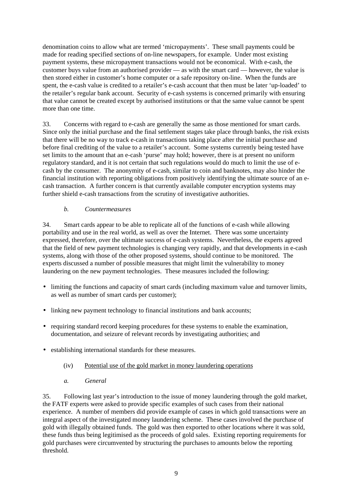denomination coins to allow what are termed 'micropayments'. These small payments could be made for reading specified sections of on-line newspapers, for example. Under most existing payment systems, these micropayment transactions would not be economical. With e-cash, the customer buys value from an authorised provider — as with the smart card — however, the value is then stored either in customer's home computer or a safe repository on-line. When the funds are spent, the e-cash value is credited to a retailer's e-cash account that then must be later 'up-loaded' to the retailer's regular bank account. Security of e-cash systems is concerned primarily with ensuring that value cannot be created except by authorised institutions or that the same value cannot be spent more than one time.

33. Concerns with regard to e-cash are generally the same as those mentioned for smart cards. Since only the initial purchase and the final settlement stages take place through banks, the risk exists that there will be no way to track e-cash in transactions taking place after the initial purchase and before final crediting of the value to a retailer's account. Some systems currently being tested have set limits to the amount that an e-cash 'purse' may hold; however, there is at present no uniform regulatory standard, and it is not certain that such regulations would do much to limit the use of ecash by the consumer. The anonymity of e-cash, similar to coin and banknotes, may also hinder the financial institution with reporting obligations from positively identifying the ultimate source of an ecash transaction. A further concern is that currently available computer encryption systems may further shield e-cash transactions from the scrutiny of investigative authorities.

## *b. Countermeasures*

34. Smart cards appear to be able to replicate all of the functions of e-cash while allowing portability and use in the real world, as well as over the Internet. There was some uncertainty expressed, therefore, over the ultimate success of e-cash systems. Nevertheless, the experts agreed that the field of new payment technologies is changing very rapidly, and that developments in e-cash systems, along with those of the other proposed systems, should continue to be monitored. The experts discussed a number of possible measures that might limit the vulnerability to money laundering on the new payment technologies. These measures included the following:

- limiting the functions and capacity of smart cards (including maximum value and turnover limits, as well as number of smart cards per customer);
- linking new payment technology to financial institutions and bank accounts;
- requiring standard record keeping procedures for these systems to enable the examination, documentation, and seizure of relevant records by investigating authorities; and
- establishing international standards for these measures.
	- (iv) Potential use of the gold market in money laundering operations
	- *a. General*

35. Following last year's introduction to the issue of money laundering through the gold market, the FATF experts were asked to provide specific examples of such cases from their national experience. A number of members did provide example of cases in which gold transactions were an integral aspect of the investigated money laundering scheme. These cases involved the purchase of gold with illegally obtained funds. The gold was then exported to other locations where it was sold, these funds thus being legitimised as the proceeds of gold sales. Existing reporting requirements for gold purchases were circumvented by structuring the purchases to amounts below the reporting threshold.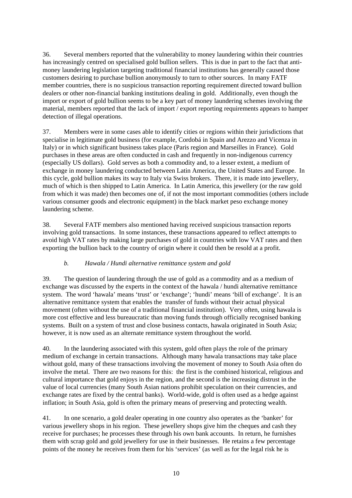36. Several members reported that the vulnerability to money laundering within their countries has increasingly centred on specialised gold bullion sellers. This is due in part to the fact that antimoney laundering legislation targeting traditional financial institutions has generally caused those customers desiring to purchase bullion anonymously to turn to other sources. In many FATF member countries, there is no suspicious transaction reporting requirement directed toward bullion dealers or other non-financial banking institutions dealing in gold. Additionally, even though the import or export of gold bullion seems to be a key part of money laundering schemes involving the material, members reported that the lack of import / export reporting requirements appears to hamper detection of illegal operations.

37. Members were in some cases able to identify cities or regions within their jurisdictions that specialise in legitimate gold business (for example, Cordobá in Spain and Arezzo and Vicenza in Italy) or in which significant business takes place (Paris region and Marseilles in France). Gold purchases in these areas are often conducted in cash and frequently in non-indigenous currency (especially US dollars). Gold serves as both a commodity and, to a lesser extent, a medium of exchange in money laundering conducted between Latin America, the United States and Europe. In this cycle, gold bullion makes its way to Italy via Swiss brokers. There, it is made into jewellery, much of which is then shipped to Latin America. In Latin America, this jewellery (or the raw gold from which it was made) then becomes one of, if not the most important commodities (others include various consumer goods and electronic equipment) in the black market peso exchange money laundering scheme.

38. Several FATF members also mentioned having received suspicious transaction reports involving gold transactions. In some instances, these transactions appeared to reflect attempts to avoid high VAT rates by making large purchases of gold in countries with low VAT rates and then exporting the bullion back to the country of origin where it could then be resold at a profit.

## *b. Hawala / Hundi alternative remittance system and gold*

39. The question of laundering through the use of gold as a commodity and as a medium of exchange was discussed by the experts in the context of the hawala / hundi alternative remittance system. The word 'hawala' means 'trust' or 'exchange'; 'hundi' means 'bill of exchange'. It is an alternative remittance system that enables the transfer of funds without their actual physical movement (often without the use of a traditional financial institution). Very often, using hawala is more cost effective and less bureaucratic than moving funds through officially recognised banking systems. Built on a system of trust and close business contacts, hawala originated in South Asia; however, it is now used as an alternate remittance system throughout the world.

40. In the laundering associated with this system, gold often plays the role of the primary medium of exchange in certain transactions. Although many hawala transactions may take place without gold, many of these transactions involving the movement of money to South Asia often do involve the metal. There are two reasons for this: the first is the combined historical, religious and cultural importance that gold enjoys in the region, and the second is the increasing distrust in the value of local currencies (many South Asian nations prohibit speculation on their currencies, and exchange rates are fixed by the central banks). World-wide, gold is often used as a hedge against inflation; in South Asia, gold is often the primary means of preserving and protecting wealth.

41. In one scenario, a gold dealer operating in one country also operates as the 'banker' for various jewellery shops in his region. These jewellery shops give him the cheques and cash they receive for purchases; he processes these through his own bank accounts. In return, he furnishes them with scrap gold and gold jewellery for use in their businesses. He retains a few percentage points of the money he receives from them for his 'services' (as well as for the legal risk he is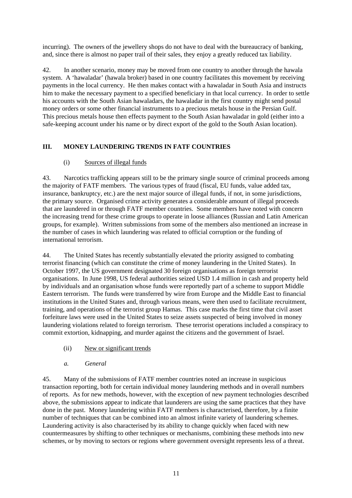incurring). The owners of the jewellery shops do not have to deal with the bureaucracy of banking, and, since there is almost no paper trail of their sales, they enjoy a greatly reduced tax liability.

42. In another scenario, money may be moved from one country to another through the hawala system. A 'hawaladar' (hawala broker) based in one country facilitates this movement by receiving payments in the local currency. He then makes contact with a hawaladar in South Asia and instructs him to make the necessary payment to a specified beneficiary in that local currency. In order to settle his accounts with the South Asian hawaladars, the hawaladar in the first country might send postal money orders or some other financial instruments to a precious metals house in the Persian Gulf. This precious metals house then effects payment to the South Asian hawaladar in gold (either into a safe-keeping account under his name or by direct export of the gold to the South Asian location).

## **III. MONEY LAUNDERING TRENDS IN FATF COUNTRIES**

## (i) Sources of illegal funds

43. Narcotics trafficking appears still to be the primary single source of criminal proceeds among the majority of FATF members. The various types of fraud (fiscal, EU funds, value added tax, insurance, bankruptcy, etc.) are the next major source of illegal funds, if not, in some jurisdictions, the primary source. Organised crime activity generates a considerable amount of illegal proceeds that are laundered in or through FATF member countries. Some members have noted with concern the increasing trend for these crime groups to operate in loose alliances (Russian and Latin American groups, for example). Written submissions from some of the members also mentioned an increase in the number of cases in which laundering was related to official corruption or the funding of international terrorism.

44. The United States has recently substantially elevated the priority assigned to combating terrorist financing (which can constitute the crime of money laundering in the United States). In October 1997, the US government designated 30 foreign organisations as foreign terrorist organisations. In June 1998, US federal authorities seized USD 1.4 million in cash and property held by individuals and an organisation whose funds were reportedly part of a scheme to support Middle Eastern terrorism. The funds were transferred by wire from Europe and the Middle East to financial institutions in the United States and, through various means, were then used to facilitate recruitment, training, and operations of the terrorist group Hamas. This case marks the first time that civil asset forfeiture laws were used in the United States to seize assets suspected of being involved in money laundering violations related to foreign terrorism. These terrorist operations included a conspiracy to commit extortion, kidnapping, and murder against the citizens and the government of Israel.

- (ii) New or significant trends
- *a. General*

45. Many of the submissions of FATF member countries noted an increase in suspicious transaction reporting, both for certain individual money laundering methods and in overall numbers of reports. As for new methods, however, with the exception of new payment technologies described above, the submissions appear to indicate that launderers are using the same practices that they have done in the past. Money laundering within FATF members is characterised, therefore, by a finite number of techniques that can be combined into an almost infinite variety of laundering schemes. Laundering activity is also characterised by its ability to change quickly when faced with new countermeasures by shifting to other techniques or mechanisms, combining these methods into new schemes, or by moving to sectors or regions where government oversight represents less of a threat.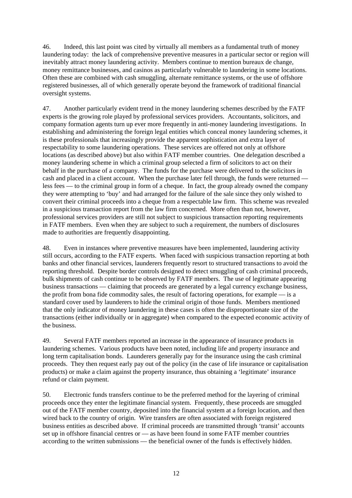46. Indeed, this last point was cited by virtually all members as a fundamental truth of money laundering today: the lack of comprehensive preventive measures in a particular sector or region will inevitably attract money laundering activity. Members continue to mention bureaux de change, money remittance businesses, and casinos as particularly vulnerable to laundering in some locations. Often these are combined with cash smuggling, alternate remittance systems, or the use of offshore registered businesses, all of which generally operate beyond the framework of traditional financial oversight systems.

47. Another particularly evident trend in the money laundering schemes described by the FATF experts is the growing role played by professional services providers. Accountants, solicitors, and company formation agents turn up ever more frequently in anti-money laundering investigations. In establishing and administering the foreign legal entities which conceal money laundering schemes, it is these professionals that increasingly provide the apparent sophistication and extra layer of respectability to some laundering operations. These services are offered not only at offshore locations (as described above) but also within FATF member countries. One delegation described a money laundering scheme in which a criminal group selected a firm of solicitors to act on their behalf in the purchase of a company. The funds for the purchase were delivered to the solicitors in cash and placed in a client account. When the purchase later fell through, the funds were returned less fees — to the criminal group in form of a cheque. In fact, the group already owned the company they were attempting to 'buy' and had arranged for the failure of the sale since they only wished to convert their criminal proceeds into a cheque from a respectable law firm. This scheme was revealed in a suspicious transaction report from the law firm concerned. More often than not, however, professional services providers are still not subject to suspicious transaction reporting requirements in FATF members. Even when they are subject to such a requirement, the numbers of disclosures made to authorities are frequently disappointing.

48. Even in instances where preventive measures have been implemented, laundering activity still occurs, according to the FATF experts. When faced with suspicious transaction reporting at both banks and other financial services, launderers frequently resort to structured transactions to avoid the reporting threshold. Despite border controls designed to detect smuggling of cash criminal proceeds, bulk shipments of cash continue to be observed by FATF members. The use of legitimate appearing business transactions — claiming that proceeds are generated by a legal currency exchange business, the profit from bona fide commodity sales, the result of factoring operations, for example — is a standard cover used by launderers to hide the criminal origin of those funds. Members mentioned that the only indicator of money laundering in these cases is often the disproportionate size of the transactions (either individually or in aggregate) when compared to the expected economic activity of the business.

49. Several FATF members reported an increase in the appearance of insurance products in laundering schemes. Various products have been noted, including life and property insurance and long term capitalisation bonds. Launderers generally pay for the insurance using the cash criminal proceeds. They then request early pay out of the policy (in the case of life insurance or capitalisation products) or make a claim against the property insurance, thus obtaining a 'legitimate' insurance refund or claim payment.

50. Electronic funds transfers continue to be the preferred method for the layering of criminal proceeds once they enter the legitimate financial system. Frequently, these proceeds are smuggled out of the FATF member country, deposited into the financial system at a foreign location, and then wired back to the country of origin. Wire transfers are often associated with foreign registered business entities as described above. If criminal proceeds are transmitted through 'transit' accounts set up in offshore financial centres or — as have been found in some FATF member countries according to the written submissions — the beneficial owner of the funds is effectively hidden.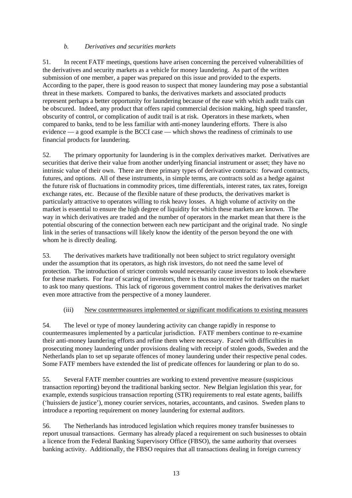## *b. Derivatives and securities markets*

51. In recent FATF meetings, questions have arisen concerning the perceived vulnerabilities of the derivatives and security markets as a vehicle for money laundering. As part of the written submission of one member, a paper was prepared on this issue and provided to the experts. According to the paper, there is good reason to suspect that money laundering may pose a substantial threat in these markets. Compared to banks, the derivatives markets and associated products represent perhaps a better opportunity for laundering because of the ease with which audit trails can be obscured. Indeed, any product that offers rapid commercial decision making, high speed transfer, obscurity of control, or complication of audit trail is at risk. Operators in these markets, when compared to banks, tend to be less familiar with anti-money laundering efforts. There is also evidence — a good example is the BCCI case — which shows the readiness of criminals to use financial products for laundering.

52. The primary opportunity for laundering is in the complex derivatives market. Derivatives are securities that derive their value from another underlying financial instrument or asset; they have no intrinsic value of their own. There are three primary types of derivative contracts: forward contracts, futures, and options. All of these instruments, in simple terms, are contracts sold as a hedge against the future risk of fluctuations in commodity prices, time differentials, interest rates, tax rates, foreign exchange rates, etc. Because of the flexible nature of these products, the derivatives market is particularly attractive to operators willing to risk heavy losses. A high volume of activity on the market is essential to ensure the high degree of liquidity for which these markets are known. The way in which derivatives are traded and the number of operators in the market mean that there is the potential obscuring of the connection between each new participant and the original trade. No single link in the series of transactions will likely know the identity of the person beyond the one with whom he is directly dealing.

53. The derivatives markets have traditionally not been subject to strict regulatory oversight under the assumption that its operators, as high risk investors, do not need the same level of protection. The introduction of stricter controls would necessarily cause investors to look elsewhere for these markets. For fear of scaring of investors, there is thus no incentive for traders on the market to ask too many questions. This lack of rigorous government control makes the derivatives market even more attractive from the perspective of a money launderer.

## (iii) New countermeasures implemented or significant modifications to existing measures

54. The level or type of money laundering activity can change rapidly in response to countermeasures implemented by a particular jurisdiction. FATF members continue to re-examine their anti-money laundering efforts and refine them where necessary. Faced with difficulties in prosecuting money laundering under provisions dealing with receipt of stolen goods, Sweden and the Netherlands plan to set up separate offences of money laundering under their respective penal codes. Some FATF members have extended the list of predicate offences for laundering or plan to do so.

55. Several FATF member countries are working to extend preventive measure (suspicious transaction reporting) beyond the traditional banking sector. New Belgian legislation this year, for example, extends suspicious transaction reporting (STR) requirements to real estate agents, bailiffs ('huissiers de justice'), money courier services, notaries, accountants, and casinos. Sweden plans to introduce a reporting requirement on money laundering for external auditors.

56. The Netherlands has introduced legislation which requires money transfer businesses to report unusual transactions. Germany has already placed a requirement on such businesses to obtain a licence from the Federal Banking Supervisory Office (FBSO), the same authority that oversees banking activity. Additionally, the FBSO requires that all transactions dealing in foreign currency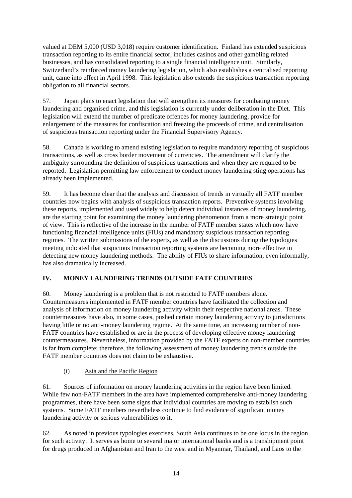valued at DEM 5,000 (USD 3,018) require customer identification. Finland has extended suspicious transaction reporting to its entire financial sector, includes casinos and other gambling related businesses, and has consolidated reporting to a single financial intelligence unit. Similarly, Switzerland's reinforced money laundering legislation, which also establishes a centralised reporting unit, came into effect in April 1998. This legislation also extends the suspicious transaction reporting obligation to all financial sectors.

57. Japan plans to enact legislation that will strengthen its measures for combating money laundering and organised crime, and this legislation is currently under deliberation in the Diet. This legislation will extend the number of predicate offences for money laundering, provide for enlargement of the measures for confiscation and freezing the proceeds of crime, and centralisation of suspicious transaction reporting under the Financial Supervisory Agency.

58. Canada is working to amend existing legislation to require mandatory reporting of suspicious transactions, as well as cross border movement of currencies. The amendment will clarify the ambiguity surrounding the definition of suspicious transactions and when they are required to be reported. Legislation permitting law enforcement to conduct money laundering sting operations has already been implemented.

59. It has become clear that the analysis and discussion of trends in virtually all FATF member countries now begins with analysis of suspicious transaction reports. Preventive systems involving these reports, implemented and used widely to help detect individual instances of money laundering, are the starting point for examining the money laundering phenomenon from a more strategic point of view. This is reflective of the increase in the number of FATF member states which now have functioning financial intelligence units (FIUs) and mandatory suspicious transaction reporting regimes. The written submissions of the experts, as well as the discussions during the typologies meeting indicated that suspicious transaction reporting systems are becoming more effective in detecting new money laundering methods. The ability of FIUs to share information, even informally, has also dramatically increased.

## **IV. MONEY LAUNDERING TRENDS OUTSIDE FATF COUNTRIES**

60. Money laundering is a problem that is not restricted to FATF members alone. Countermeasures implemented in FATF member countries have facilitated the collection and analysis of information on money laundering activity within their respective national areas. These countermeasures have also, in some cases, pushed certain money laundering activity to jurisdictions having little or no anti-money laundering regime. At the same time, an increasing number of non-FATF countries have established or are in the process of developing effective money laundering countermeasures. Nevertheless, information provided by the FATF experts on non-member countries is far from complete; therefore, the following assessment of money laundering trends outside the FATF member countries does not claim to be exhaustive.

## (i) Asia and the Pacific Region

61. Sources of information on money laundering activities in the region have been limited. While few non-FATF members in the area have implemented comprehensive anti-money laundering programmes, there have been some signs that individual countries are moving to establish such systems. Some FATF members nevertheless continue to find evidence of significant money laundering activity or serious vulnerabilities to it.

62. As noted in previous typologies exercises, South Asia continues to be one locus in the region for such activity. It serves as home to several major international banks and is a transhipment point for drugs produced in Afghanistan and Iran to the west and in Myanmar, Thailand, and Laos to the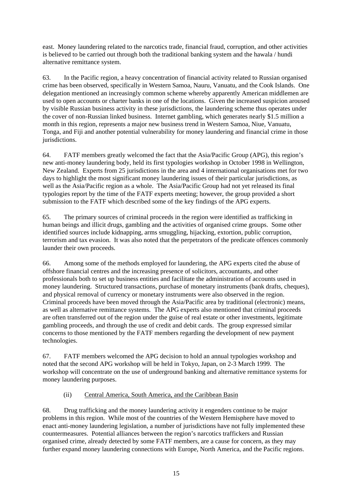east. Money laundering related to the narcotics trade, financial fraud, corruption, and other activities is believed to be carried out through both the traditional banking system and the hawala / hundi alternative remittance system.

63. In the Pacific region, a heavy concentration of financial activity related to Russian organised crime has been observed, specifically in Western Samoa, Nauru, Vanuatu, and the Cook Islands. One delegation mentioned an increasingly common scheme whereby apparently American middlemen are used to open accounts or charter banks in one of the locations. Given the increased suspicion aroused by visible Russian business activity in these jurisdictions, the laundering scheme thus operates under the cover of non-Russian linked business. Internet gambling, which generates nearly \$1.5 million a month in this region, represents a major new business trend in Western Samoa, Niue, Vanuatu, Tonga, and Fiji and another potential vulnerability for money laundering and financial crime in those jurisdictions.

64. FATF members greatly welcomed the fact that the Asia/Pacific Group (APG), this region's new anti-money laundering body, held its first typologies workshop in October 1998 in Wellington, New Zealand. Experts from 25 jurisdictions in the area and 4 international organisations met for two days to highlight the most significant money laundering issues of their particular jurisdictions, as well as the Asia/Pacific region as a whole. The Asia/Pacific Group had not yet released its final typologies report by the time of the FATF experts meeting; however, the group provided a short submission to the FATF which described some of the key findings of the APG experts.

65. The primary sources of criminal proceeds in the region were identified as trafficking in human beings and illicit drugs, gambling and the activities of organised crime groups. Some other identified sources include kidnapping, arms smuggling, hijacking, extortion, public corruption, terrorism and tax evasion. It was also noted that the perpetrators of the predicate offences commonly launder their own proceeds.

66. Among some of the methods employed for laundering, the APG experts cited the abuse of offshore financial centres and the increasing presence of solicitors, accountants, and other professionals both to set up business entities and facilitate the administration of accounts used in money laundering. Structured transactions, purchase of monetary instruments (bank drafts, cheques), and physical removal of currency or monetary instruments were also observed in the region. Criminal proceeds have been moved through the Asia/Pacific area by traditional (electronic) means, as well as alternative remittance systems. The APG experts also mentioned that criminal proceeds are often transferred out of the region under the guise of real estate or other investments, legitimate gambling proceeds, and through the use of credit and debit cards. The group expressed similar concerns to those mentioned by the FATF members regarding the development of new payment technologies.

67. FATF members welcomed the APG decision to hold an annual typologies workshop and noted that the second APG workshop will be held in Tokyo, Japan, on 2-3 March 1999. The workshop will concentrate on the use of underground banking and alternative remittance systems for money laundering purposes.

## (ii) Central America, South America, and the Caribbean Basin

68. Drug trafficking and the money laundering activity it engenders continue to be major problems in this region. While most of the countries of the Western Hemisphere have moved to enact anti-money laundering legislation, a number of jurisdictions have not fully implemented these countermeasures. Potential alliances between the region's narcotics traffickers and Russian organised crime, already detected by some FATF members, are a cause for concern, as they may further expand money laundering connections with Europe, North America, and the Pacific regions.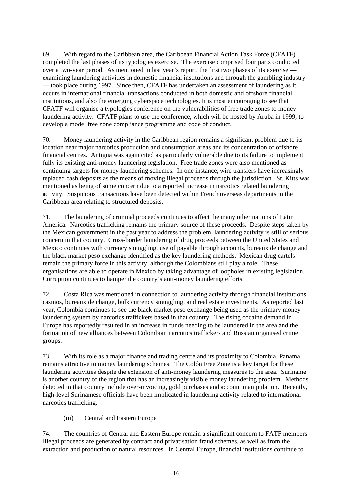69. With regard to the Caribbean area, the Caribbean Financial Action Task Force (CFATF) completed the last phases of its typologies exercise. The exercise comprised four parts conducted over a two-year period. As mentioned in last year's report, the first two phases of its exercise examining laundering activities in domestic financial institutions and through the gambling industry — took place during 1997. Since then, CFATF has undertaken an assessment of laundering as it occurs in international financial transactions conducted in both domestic and offshore financial institutions, and also the emerging cyberspace technologies. It is most encouraging to see that CFATF will organise a typologies conference on the vulnerabilities of free trade zones to money laundering activity. CFATF plans to use the conference, which will be hosted by Aruba in 1999, to develop a model free zone compliance programme and code of conduct.

70. Money laundering activity in the Caribbean region remains a significant problem due to its location near major narcotics production and consumption areas and its concentration of offshore financial centres. Antigua was again cited as particularly vulnerable due to its failure to implement fully its existing anti-money laundering legislation. Free trade zones were also mentioned as continuing targets for money laundering schemes. In one instance, wire transfers have increasingly replaced cash deposits as the means of moving illegal proceeds through the jurisdiction. St. Kitts was mentioned as being of some concern due to a reported increase in narcotics related laundering activity. Suspicious transactions have been detected within French overseas departments in the Caribbean area relating to structured deposits.

71. The laundering of criminal proceeds continues to affect the many other nations of Latin America. Narcotics trafficking remains the primary source of these proceeds. Despite steps taken by the Mexican government in the past year to address the problem, laundering activity is still of serious concern in that country. Cross-border laundering of drug proceeds between the United States and Mexico continues with currency smuggling, use of payable through accounts, bureaux de change and the black market peso exchange identified as the key laundering methods. Mexican drug cartels remain the primary force in this activity, although the Colombians still play a role. These organisations are able to operate in Mexico by taking advantage of loopholes in existing legislation. Corruption continues to hamper the country's anti-money laundering efforts.

72. Costa Rica was mentioned in connection to laundering activity through financial institutions, casinos, bureaux de change, bulk currency smuggling, and real estate investments. As reported last year, Colombia continues to see the black market peso exchange being used as the primary money laundering system by narcotics traffickers based in that country. The rising cocaine demand in Europe has reportedly resulted in an increase in funds needing to be laundered in the area and the formation of new alliances between Colombian narcotics traffickers and Russian organised crime groups.

73. With its role as a major finance and trading centre and its proximity to Colombia, Panama remains attractive to money laundering schemes. The Colón Free Zone is a key target for these laundering activities despite the extension of anti-money laundering measures to the area. Suriname is another country of the region that has an increasingly visible money laundering problem. Methods detected in that country include over-invoicing, gold purchases and account manipulation. Recently, high-level Surinamese officials have been implicated in laundering activity related to international narcotics trafficking.

## (iii) Central and Eastern Europe

74. The countries of Central and Eastern Europe remain a significant concern to FATF members. Illegal proceeds are generated by contract and privatisation fraud schemes, as well as from the extraction and production of natural resources. In Central Europe, financial institutions continue to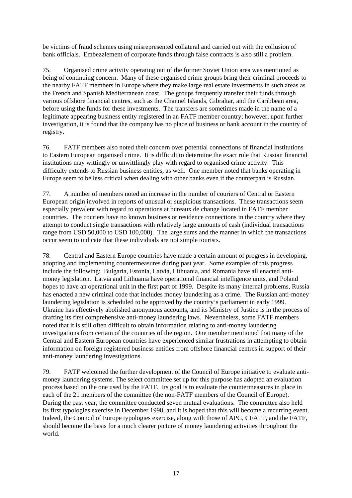be victims of fraud schemes using misrepresented collateral and carried out with the collusion of bank officials. Embezzlement of corporate funds through false contracts is also still a problem.

75. Organised crime activity operating out of the former Soviet Union area was mentioned as being of continuing concern. Many of these organised crime groups bring their criminal proceeds to the nearby FATF members in Europe where they make large real estate investments in such areas as the French and Spanish Mediterranean coast. The groups frequently transfer their funds through various offshore financial centres, such as the Channel Islands, Gibraltar, and the Caribbean area, before using the funds for these investments. The transfers are sometimes made in the name of a legitimate appearing business entity registered in an FATF member country; however, upon further investigation, it is found that the company has no place of business or bank account in the country of registry.

76. FATF members also noted their concern over potential connections of financial institutions to Eastern European organised crime. It is difficult to determine the exact role that Russian financial institutions may wittingly or unwittlingly play with regard to organised crime activity. This difficulty extends to Russian business entities, as well. One member noted that banks operating in Europe seem to be less critical when dealing with other banks even if the counterpart is Russian.

77. A number of members noted an increase in the number of couriers of Central or Eastern European origin involved in reports of unusual or suspicious transactions. These transactions seem especially prevalent with regard to operations at bureaux de change located in FATF member countries. The couriers have no known business or residence connections in the country where they attempt to conduct single transactions with relatively large amounts of cash (individual transactions range from USD 50,000 to USD 100,000). The large sums and the manner in which the transactions occur seem to indicate that these individuals are not simple tourists.

78. Central and Eastern Europe countries have made a certain amount of progress in developing, adopting and implementing countermeasures during past year. Some examples of this progress include the following: Bulgaria, Estonia, Latvia, Lithuania, and Romania have all enacted antimoney legislation. Latvia and Lithuania have operational financial intelligence units, and Poland hopes to have an operational unit in the first part of 1999. Despite its many internal problems, Russia has enacted a new criminal code that includes money laundering as a crime. The Russian anti-money laundering legislation is scheduled to be approved by the country's parliament in early 1999. Ukraine has effectively abolished anonymous accounts, and its Ministry of Justice is in the process of drafting its first comprehensive anti-money laundering laws. Nevertheless, some FATF members noted that it is still often difficult to obtain information relating to anti-money laundering investigations from certain of the countries of the region. One member mentioned that many of the Central and Eastern European countries have experienced similar frustrations in attempting to obtain information on foreign registered business entities from offshore financial centres in support of their anti-money laundering investigations.

79. FATF welcomed the further development of the Council of Europe initiative to evaluate antimoney laundering systems. The select committee set up for this purpose has adopted an evaluation process based on the one used by the FATF. Its goal is to evaluate the countermeasures in place in each of the 21 members of the committee (the non-FATF members of the Council of Europe). During the past year, the committee conducted seven mutual evaluations. The committee also held its first typologies exercise in December 1998, and it is hoped that this will become a recurring event. Indeed, the Council of Europe typologies exercise, along with those of APG, CFATF, and the FATF, should become the basis for a much clearer picture of money laundering activities throughout the world.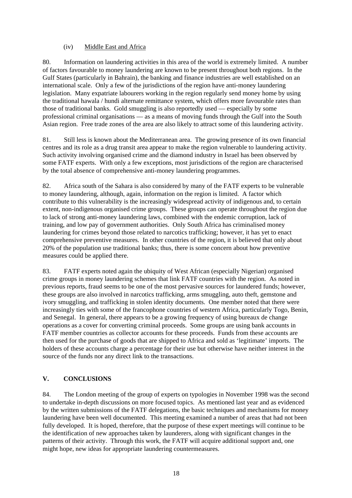#### (iv) Middle East and Africa

80. Information on laundering activities in this area of the world is extremely limited. A number of factors favourable to money laundering are known to be present throughout both regions. In the Gulf States (particularly in Bahrain), the banking and finance industries are well established on an international scale. Only a few of the jurisdictions of the region have anti-money laundering legislation. Many expatriate labourers working in the region regularly send money home by using the traditional hawala / hundi alternate remittance system, which offers more favourable rates than those of traditional banks. Gold smuggling is also reportedly used — especially by some professional criminal organisations — as a means of moving funds through the Gulf into the South Asian region. Free trade zones of the area are also likely to attract some of this laundering activity.

81. Still less is known about the Mediterranean area. The growing presence of its own financial centres and its role as a drug transit area appear to make the region vulnerable to laundering activity. Such activity involving organised crime and the diamond industry in Israel has been observed by some FATF experts. With only a few exceptions, most jurisdictions of the region are characterised by the total absence of comprehensive anti-money laundering programmes.

82. Africa south of the Sahara is also considered by many of the FATF experts to be vulnerable to money laundering, although, again, information on the region is limited. A factor which contribute to this vulnerability is the increasingly widespread activity of indigenous and, to certain extent, non-indigenous organised crime groups. These groups can operate throughout the region due to lack of strong anti-money laundering laws, combined with the endemic corruption, lack of training, and low pay of government authorities. Only South Africa has criminalised money laundering for crimes beyond those related to narcotics trafficking; however, it has yet to enact comprehensive preventive measures. In other countries of the region, it is believed that only about 20% of the population use traditional banks; thus, there is some concern about how preventive measures could be applied there.

83. FATF experts noted again the ubiquity of West African (especially Nigerian) organised crime groups in money laundering schemes that link FATF countries with the region. As noted in previous reports, fraud seems to be one of the most pervasive sources for laundered funds; however, these groups are also involved in narcotics trafficking, arms smuggling, auto theft, gemstone and ivory smuggling, and trafficking in stolen identity documents. One member noted that there were increasingly ties with some of the francophone countries of western Africa, particularly Togo, Benin, and Senegal. In general, there appears to be a growing frequency of using bureaux de change operations as a cover for converting criminal proceeds. Some groups are using bank accounts in FATF member countries as collector accounts for these proceeds. Funds from these accounts are then used for the purchase of goods that are shipped to Africa and sold as 'legitimate' imports. The holders of these accounts charge a percentage for their use but otherwise have neither interest in the source of the funds nor any direct link to the transactions.

## **V. CONCLUSIONS**

84. The London meeting of the group of experts on typologies in November 1998 was the second to undertake in-depth discussions on more focused topics. As mentioned last year and as evidenced by the written submissions of the FATF delegations, the basic techniques and mechanisms for money laundering have been well documented. This meeting examined a number of areas that had not been fully developed. It is hoped, therefore, that the purpose of these expert meetings will continue to be the identification of new approaches taken by launderers, along with significant changes in the patterns of their activity. Through this work, the FATF will acquire additional support and, one might hope, new ideas for appropriate laundering countermeasures.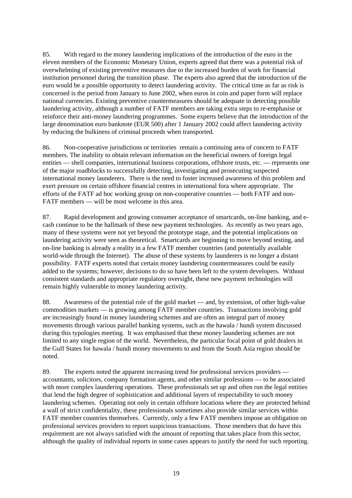85. With regard to the money laundering implications of the introduction of the euro in the eleven members of the Economic Monetary Union, experts agreed that there was a potential risk of overwhelming of existing preventive measures due to the increased burden of work for financial institution personnel during the transition phase. The experts also agreed that the introduction of the euro would be a possible opportunity to detect laundering activity. The critical time as far as risk is concerned is the period from January to June 2002, when euros in coin and paper form will replace national currencies. Existing preventive countermeasures should be adequate in detecting possible laundering activity, although a number of FATF members are taking extra steps to re-emphasise or reinforce their anti-money laundering programmes. Some experts believe that the introduction of the large denomination euro banknote (EUR 500) after 1 January 2002 could affect laundering activity by reducing the bulkiness of criminal proceeds when transported.

86. Non-cooperative jurisdictions or territories remain a continuing area of concern to FATF members. The inability to obtain relevant information on the beneficial owners of foreign legal entities — shell companies, international business corporations, offshore trusts, etc. — represents one of the major roadblocks to successfully detecting, investigating and prosecuting suspected international money launderers. There is the need to foster increased awareness of this problem and exert pressure on certain offshore financial centres in international fora where appropriate. The efforts of the FATF ad hoc working group on non-cooperative countries — both FATF and non-FATF members — will be most welcome in this area.

87. Rapid development and growing consumer acceptance of smartcards, on-line banking, and ecash continue to be the hallmark of these new payment technologies. As recently as two years ago, many of these systems were not yet beyond the prototype stage, and the potential implications on laundering activity were seen as theoretical. Smartcards are beginning to move beyond testing, and on-line banking is already a reality in a few FATF member countries (and potentially available world-wide through the Internet). The abuse of these systems by launderers is no longer a distant possibility. FATF experts noted that certain money laundering countermeasures could be easily added to the systems; however, decisions to do so have been left to the system developers. Without consistent standards and appropriate regulatory oversight, these new payment technologies will remain highly vulnerable to money laundering activity.

88. Awareness of the potential role of the gold market — and, by extension, of other high-value commodities markets — is growing among FATF member countries. Transactions involving gold are increasingly found in money laundering schemes and are often an integral part of money movements through various parallel banking systems, such as the hawala / hundi system discussed during this typologies meeting. It was emphasised that these money laundering schemes are not limited to any single region of the world. Nevertheless, the particular focal point of gold dealers in the Gulf States for hawala / hundi money movements to and from the South Asia region should be noted.

89. The experts noted the apparent increasing trend for professional services providers accountants, solicitors, company formation agents, and other similar professions — to be associated with more complex laundering operations. These professionals set up and often run the legal entities that lend the high degree of sophistication and additional layers of respectability to such money laundering schemes. Operating not only in certain offshore locations where they are protected behind a wall of strict confidentiality, these professionals sometimes also provide similar services within FATF member countries themselves. Currently, only a few FATF members impose an obligation on professional services providers to report suspicious transactions. Those members that do have this requirement are not always satisfied with the amount of reporting that takes place from this sector, although the quality of individual reports in some cases appears to justify the need for such reporting.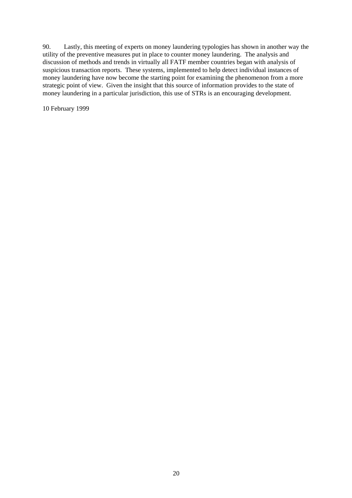90. Lastly, this meeting of experts on money laundering typologies has shown in another way the utility of the preventive measures put in place to counter money laundering. The analysis and discussion of methods and trends in virtually all FATF member countries began with analysis of suspicious transaction reports. These systems, implemented to help detect individual instances of money laundering have now become the starting point for examining the phenomenon from a more strategic point of view. Given the insight that this source of information provides to the state of money laundering in a particular jurisdiction, this use of STRs is an encouraging development.

10 February 1999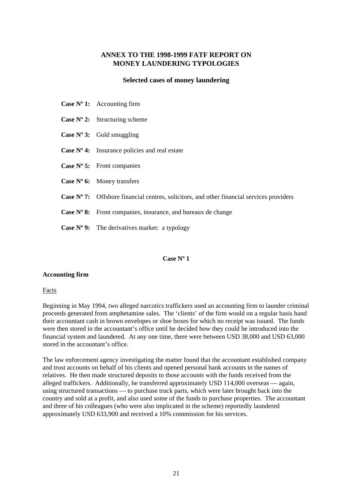## **ANNEX TO THE 1998-1999 FATF REPORT ON MONEY LAUNDERING TYPOLOGIES**

#### **Selected cases of money laundering**

| <b>Case <math>N^{\circ}</math> 1:</b> Accounting firm                                                                |
|----------------------------------------------------------------------------------------------------------------------|
| <b>Case N° 2:</b> Structuring scheme                                                                                 |
| <b>Case N° 3:</b> Gold smuggling                                                                                     |
| <b>Case <math>N^{\circ}</math> 4:</b> Insurance policies and real estate                                             |
| <b>Case <math>N^{\circ}</math> 5:</b> Front companies                                                                |
| <b>Case <math>N^{\circ}</math> 6:</b> Money transfers                                                                |
| <b>Case <math>N^{\circ}</math> 7:</b> Offshore financial centres, solicitors, and other financial services providers |
| <b>Case <math>N^{\circ}</math> 8:</b> Front companies, insurance, and bureaux de change                              |
| <b>Case <math>N^{\circ}</math> 9:</b> The derivatives market: a typology                                             |

#### **Case Nº 1**

#### **Accounting firm**

#### Facts

Beginning in May 1994, two alleged narcotics traffickers used an accounting firm to launder criminal proceeds generated from amphetamine sales. The 'clients' of the firm would on a regular basis hand their accountant cash in brown envelopes or shoe boxes for which no receipt was issued. The funds were then stored in the accountant's office until he decided how they could be introduced into the financial system and laundered. At any one time, there were between USD 38,000 and USD 63,000 stored in the accountant's office.

The law enforcement agency investigating the matter found that the accountant established company and trust accounts on behalf of his clients and opened personal bank accounts in the names of relatives. He then made structured deposits to those accounts with the funds received from the alleged traffickers. Additionally, he transferred approximately USD 114,000 overseas — again, using structured transactions — to purchase truck parts, which were later brought back into the country and sold at a profit, and also used some of the funds to purchase properties. The accountant and three of his colleagues (who were also implicated in the scheme) reportedly laundered approximately USD 633,900 and received a 10% commission for his services.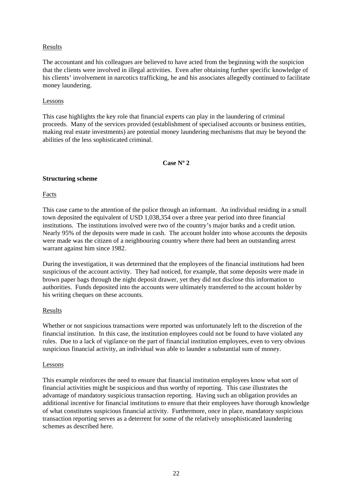#### Results

The accountant and his colleagues are believed to have acted from the beginning with the suspicion that the clients were involved in illegal activities. Even after obtaining further specific knowledge of his clients' involvement in narcotics trafficking, he and his associates allegedly continued to facilitate money laundering.

#### Lessons

This case highlights the key role that financial experts can play in the laundering of criminal proceeds. Many of the services provided (establishment of specialised accounts or business entities, making real estate investments) are potential money laundering mechanisms that may be beyond the abilities of the less sophisticated criminal.

#### **Case Nº 2**

#### **Structuring scheme**

#### Facts

This case came to the attention of the police through an informant. An individual residing in a small town deposited the equivalent of USD 1,038,354 over a three year period into three financial institutions. The institutions involved were two of the country's major banks and a credit union. Nearly 95% of the deposits were made in cash. The account holder into whose accounts the deposits were made was the citizen of a neighbouring country where there had been an outstanding arrest warrant against him since 1982.

During the investigation, it was determined that the employees of the financial institutions had been suspicious of the account activity. They had noticed, for example, that some deposits were made in brown paper bags through the night deposit drawer, yet they did not disclose this information to authorities. Funds deposited into the accounts were ultimately transferred to the account holder by his writing cheques on these accounts.

#### Results

Whether or not suspicious transactions were reported was unfortunately left to the discretion of the financial institution. In this case, the institution employees could not be found to have violated any rules. Due to a lack of vigilance on the part of financial institution employees, even to very obvious suspicious financial activity, an individual was able to launder a substantial sum of money.

#### Lessons

This example reinforces the need to ensure that financial institution employees know what sort of financial activities might be suspicious and thus worthy of reporting. This case illustrates the advantage of mandatory suspicious transaction reporting. Having such an obligation provides an additional incentive for financial institutions to ensure that their employees have thorough knowledge of what constitutes suspicious financial activity. Furthermore, once in place, mandatory suspicious transaction reporting serves as a deterrent for some of the relatively unsophisticated laundering schemes as described here.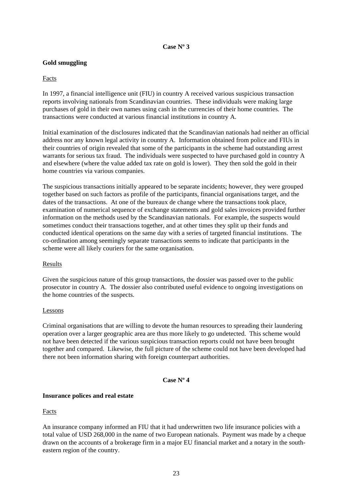#### **Case Nº 3**

#### **Gold smuggling**

#### Facts

In 1997, a financial intelligence unit (FIU) in country A received various suspicious transaction reports involving nationals from Scandinavian countries. These individuals were making large purchases of gold in their own names using cash in the currencies of their home countries. The transactions were conducted at various financial institutions in country A.

Initial examination of the disclosures indicated that the Scandinavian nationals had neither an official address nor any known legal activity in country A. Information obtained from police and FIUs in their countries of origin revealed that some of the participants in the scheme had outstanding arrest warrants for serious tax fraud. The individuals were suspected to have purchased gold in country A and elsewhere (where the value added tax rate on gold is lower). They then sold the gold in their home countries via various companies.

The suspicious transactions initially appeared to be separate incidents; however, they were grouped together based on such factors as profile of the participants, financial organisations target, and the dates of the transactions. At one of the bureaux de change where the transactions took place, examination of numerical sequence of exchange statements and gold sales invoices provided further information on the methods used by the Scandinavian nationals. For example, the suspects would sometimes conduct their transactions together, and at other times they split up their funds and conducted identical operations on the same day with a series of targeted financial institutions. The co-ordination among seemingly separate transactions seems to indicate that participants in the scheme were all likely couriers for the same organisation.

#### Results

Given the suspicious nature of this group transactions, the dossier was passed over to the public prosecutor in country A. The dossier also contributed useful evidence to ongoing investigations on the home countries of the suspects.

#### Lessons

Criminal organisations that are willing to devote the human resources to spreading their laundering operation over a larger geographic area are thus more likely to go undetected. This scheme would not have been detected if the various suspicious transaction reports could not have been brought together and compared. Likewise, the full picture of the scheme could not have been developed had there not been information sharing with foreign counterpart authorities.

#### **Case Nº 4**

#### **Insurance polices and real estate**

#### Facts

An insurance company informed an FIU that it had underwritten two life insurance policies with a total value of USD 268,000 in the name of two European nationals. Payment was made by a cheque drawn on the accounts of a brokerage firm in a major EU financial market and a notary in the southeastern region of the country.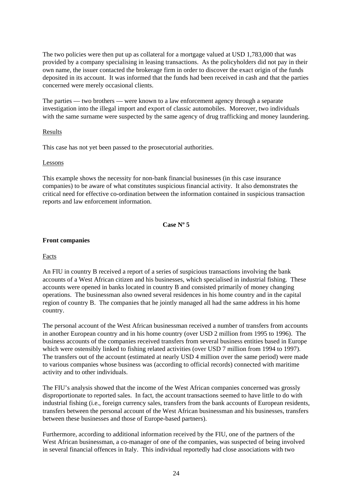The two policies were then put up as collateral for a mortgage valued at USD 1,783,000 that was provided by a company specialising in leasing transactions. As the policyholders did not pay in their own name, the issuer contacted the brokerage firm in order to discover the exact origin of the funds deposited in its account. It was informed that the funds had been received in cash and that the parties concerned were merely occasional clients.

The parties — two brothers — were known to a law enforcement agency through a separate investigation into the illegal import and export of classic automobiles. Moreover, two individuals with the same surname were suspected by the same agency of drug trafficking and money laundering.

#### Results

This case has not yet been passed to the prosecutorial authorities.

#### Lessons

This example shows the necessity for non-bank financial businesses (in this case insurance companies) to be aware of what constitutes suspicious financial activity. It also demonstrates the critical need for effective co-ordination between the information contained in suspicious transaction reports and law enforcement information.

**Case Nº 5**

#### **Front companies**

#### Facts

An FIU in country B received a report of a series of suspicious transactions involving the bank accounts of a West African citizen and his businesses, which specialised in industrial fishing. These accounts were opened in banks located in country B and consisted primarily of money changing operations. The businessman also owned several residences in his home country and in the capital region of country B. The companies that he jointly managed all had the same address in his home country.

The personal account of the West African businessman received a number of transfers from accounts in another European country and in his home country (over USD 2 million from 1995 to 1996). The business accounts of the companies received transfers from several business entities based in Europe which were ostensibly linked to fishing related activities (over USD 7 million from 1994 to 1997). The transfers out of the account (estimated at nearly USD 4 million over the same period) were made to various companies whose business was (according to official records) connected with maritime activity and to other individuals.

The FIU's analysis showed that the income of the West African companies concerned was grossly disproportionate to reported sales. In fact, the account transactions seemed to have little to do with industrial fishing (i.e., foreign currency sales, transfers from the bank accounts of European residents, transfers between the personal account of the West African businessman and his businesses, transfers between these businesses and those of Europe-based partners).

Furthermore, according to additional information received by the FIU, one of the partners of the West African businessman, a co-manager of one of the companies, was suspected of being involved in several financial offences in Italy. This individual reportedly had close associations with two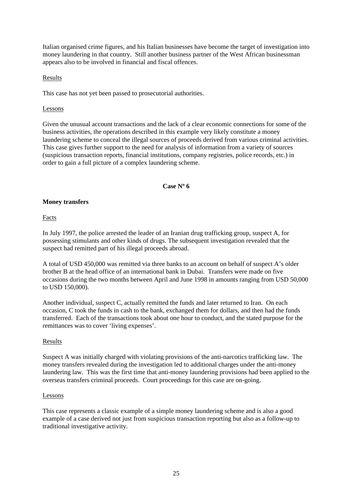Italian organised crime figures, and his Italian businesses have become the target of investigation into money laundering in that country. Still another business partner of the West African businessman appears also to be involved in financial and fiscal offences.

#### Results

This case has not yet been passed to prosecutorial authorities.

#### Lessons

Given the unusual account transactions and the lack of a clear economic connections for some of the business activities, the operations described in this example very likely constitute a money laundering scheme to conceal the illegal sources of proceeds derived from various criminal activities. This case gives further support to the need for analysis of information from a variety of sources (suspicious transaction reports, financial institutions, company registries, police records, etc.) in order to gain a full picture of a complex laundering scheme.

## **Case Nº 6**

#### **Money transfers**

Facts

In July 1997, the police arrested the leader of an Iranian drug trafficking group, suspect A, for possessing stimulants and other kinds of drugs. The subsequent investigation revealed that the suspect had remitted part of his illegal proceeds abroad.

A total of USD 450,000 was remitted via three banks to an account on behalf of suspect A's older brother B at the head office of an international bank in Dubai. Transfers were made on five occasions during the two months between April and June 1998 in amounts ranging from USD 50,000 to USD 150,000).

Another individual, suspect C, actually remitted the funds and later returned to Iran. On each occasion, C took the funds in cash to the bank, exchanged them for dollars, and then had the funds transferred. Each of the transactions took about one hour to conduct, and the stated purpose for the remittances was to cover 'living expenses'.

## Results

Suspect A was initially charged with violating provisions of the anti-narcotics trafficking law. The money transfers revealed during the investigation led to additional charges under the anti-money laundering law. This was the first time that anti-money laundering provisions had been applied to the overseas transfers criminal proceeds. Court proceedings for this case are on-going.

#### Lessons

This case represents a classic example of a simple money laundering scheme and is also a good example of a case derived not just from suspicious transaction reporting but also as a follow-up to traditional investigative activity.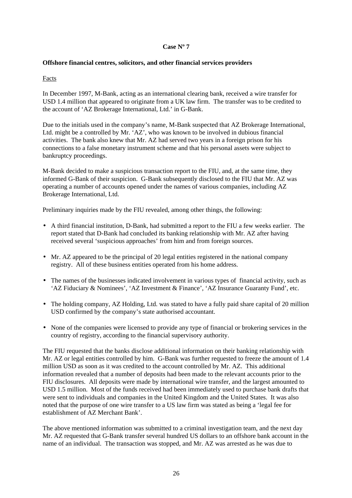#### **Case Nº 7**

#### **Offshore financial centres, solicitors, and other financial services providers**

#### Facts

In December 1997, M-Bank, acting as an international clearing bank, received a wire transfer for USD 1.4 million that appeared to originate from a UK law firm. The transfer was to be credited to the account of 'AZ Brokerage International, Ltd.' in G-Bank.

Due to the initials used in the company's name, M-Bank suspected that AZ Brokerage International, Ltd. might be a controlled by Mr. 'AZ', who was known to be involved in dubious financial activities. The bank also knew that Mr. AZ had served two years in a foreign prison for his connections to a false monetary instrument scheme and that his personal assets were subject to bankruptcy proceedings.

M-Bank decided to make a suspicious transaction report to the FIU, and, at the same time, they informed G-Bank of their suspicion. G-Bank subsequently disclosed to the FIU that Mr. AZ was operating a number of accounts opened under the names of various companies, including AZ Brokerage International, Ltd.

Preliminary inquiries made by the FIU revealed, among other things, the following:

- A third financial institution, D-Bank, had submitted a report to the FIU a few weeks earlier. The report stated that D-Bank had concluded its banking relationship with Mr. AZ after having received several 'suspicious approaches' from him and from foreign sources.
- Mr. AZ appeared to be the principal of 20 legal entities registered in the national company registry. All of these business entities operated from his home address.
- The names of the businesses indicated involvement in various types of financial activity, such as 'AZ Fiduciary & Nominees', 'AZ Investment & Finance', 'AZ Insurance Guaranty Fund', etc.
- The holding company, AZ Holding, Ltd. was stated to have a fully paid share capital of 20 million USD confirmed by the company's state authorised accountant.
- None of the companies were licensed to provide any type of financial or brokering services in the country of registry, according to the financial supervisory authority.

The FIU requested that the banks disclose additional information on their banking relationship with Mr. AZ or legal entities controlled by him. G-Bank was further requested to freeze the amount of 1.4 million USD as soon as it was credited to the account controlled by Mr. AZ. This additional information revealed that a number of deposits had been made to the relevant accounts prior to the FIU disclosures. All deposits were made by international wire transfer, and the largest amounted to USD 1.5 million. Most of the funds received had been immediately used to purchase bank drafts that were sent to individuals and companies in the United Kingdom and the United States. It was also noted that the purpose of one wire transfer to a US law firm was stated as being a 'legal fee for establishment of AZ Merchant Bank'.

The above mentioned information was submitted to a criminal investigation team, and the next day Mr. AZ requested that G-Bank transfer several hundred US dollars to an offshore bank account in the name of an individual. The transaction was stopped, and Mr. AZ was arrested as he was due to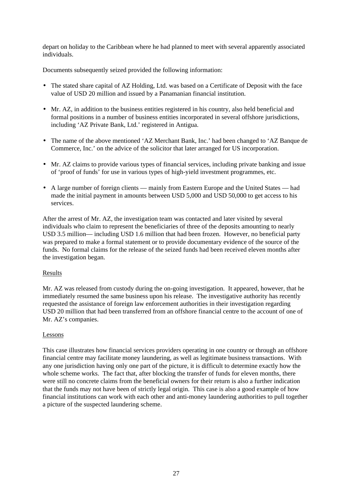depart on holiday to the Caribbean where he had planned to meet with several apparently associated individuals.

Documents subsequently seized provided the following information:

- The stated share capital of AZ Holding, Ltd. was based on a Certificate of Deposit with the face value of USD 20 million and issued by a Panamanian financial institution.
- Mr. AZ, in addition to the business entities registered in his country, also held beneficial and formal positions in a number of business entities incorporated in several offshore jurisdictions, including 'AZ Private Bank, Ltd.' registered in Antigua.
- The name of the above mentioned 'AZ Merchant Bank, Inc.' had been changed to 'AZ Banque de Commerce, Inc.' on the advice of the solicitor that later arranged for US incorporation.
- Mr. AZ claims to provide various types of financial services, including private banking and issue of 'proof of funds' for use in various types of high-yield investment programmes, etc.
- A large number of foreign clients mainly from Eastern Europe and the United States had made the initial payment in amounts between USD 5,000 and USD 50,000 to get access to his services.

After the arrest of Mr. AZ, the investigation team was contacted and later visited by several individuals who claim to represent the beneficiaries of three of the deposits amounting to nearly USD 3.5 million— including USD 1.6 million that had been frozen. However, no beneficial party was prepared to make a formal statement or to provide documentary evidence of the source of the funds. No formal claims for the release of the seized funds had been received eleven months after the investigation began.

#### Results

Mr. AZ was released from custody during the on-going investigation. It appeared, however, that he immediately resumed the same business upon his release. The investigative authority has recently requested the assistance of foreign law enforcement authorities in their investigation regarding USD 20 million that had been transferred from an offshore financial centre to the account of one of Mr. AZ's companies.

#### Lessons

This case illustrates how financial services providers operating in one country or through an offshore financial centre may facilitate money laundering, as well as legitimate business transactions. With any one jurisdiction having only one part of the picture, it is difficult to determine exactly how the whole scheme works. The fact that, after blocking the transfer of funds for eleven months, there were still no concrete claims from the beneficial owners for their return is also a further indication that the funds may not have been of strictly legal origin. This case is also a good example of how financial institutions can work with each other and anti-money laundering authorities to pull together a picture of the suspected laundering scheme.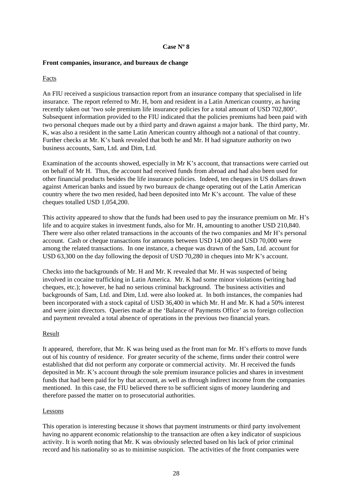#### **Case Nº 8**

#### **Front companies, insurance, and bureaux de change**

## Facts

An FIU received a suspicious transaction report from an insurance company that specialised in life insurance. The report referred to Mr. H, born and resident in a Latin American country, as having recently taken out 'two sole premium life insurance policies for a total amount of USD 702,800'. Subsequent information provided to the FIU indicated that the policies premiums had been paid with two personal cheques made out by a third party and drawn against a major bank. The third party, Mr. K, was also a resident in the same Latin American country although not a national of that country. Further checks at Mr. K's bank revealed that both he and Mr. H had signature authority on two business accounts, Sam, Ltd. and Dim, Ltd.

Examination of the accounts showed, especially in Mr K's account, that transactions were carried out on behalf of Mr H. Thus, the account had received funds from abroad and had also been used for other financial products besides the life insurance policies. Indeed, ten cheques in US dollars drawn against American banks and issued by two bureaux de change operating out of the Latin American country where the two men resided, had been deposited into Mr K's account. The value of these cheques totalled USD 1,054,200.

This activity appeared to show that the funds had been used to pay the insurance premium on Mr. H's life and to acquire stakes in investment funds, also for Mr. H, amounting to another USD 210,840. There were also other related transactions in the accounts of the two companies and Mr H's personal account. Cash or cheque transactions for amounts between USD 14,000 and USD 70,000 were among the related transactions. In one instance, a cheque was drawn of the Sam, Ltd. account for USD 63,300 on the day following the deposit of USD 70,280 in cheques into Mr K's account.

Checks into the backgrounds of Mr. H and Mr. K revealed that Mr. H was suspected of being involved in cocaine trafficking in Latin America. Mr. K had some minor violations (writing bad cheques, etc.); however, he had no serious criminal background. The business activities and backgrounds of Sam, Ltd. and Dim, Ltd. were also looked at. In both instances, the companies had been incorporated with a stock capital of USD 36,400 in which Mr. H and Mr. K had a 50% interest and were joint directors. Queries made at the 'Balance of Payments Office' as to foreign collection and payment revealed a total absence of operations in the previous two financial years.

## Result

It appeared, therefore, that Mr. K was being used as the front man for Mr. H's efforts to move funds out of his country of residence. For greater security of the scheme, firms under their control were established that did not perform any corporate or commercial activity. Mr. H received the funds deposited in Mr. K's account through the sole premium insurance policies and shares in investment funds that had been paid for by that account, as well as through indirect income from the companies mentioned. In this case, the FIU believed there to be sufficient signs of money laundering and therefore passed the matter on to prosecutorial authorities.

#### Lessons

This operation is interesting because it shows that payment instruments or third party involvement having no apparent economic relationship to the transaction are often a key indicator of suspicious activity. It is worth noting that Mr. K was obviously selected based on his lack of prior criminal record and his nationality so as to minimise suspicion. The activities of the front companies were